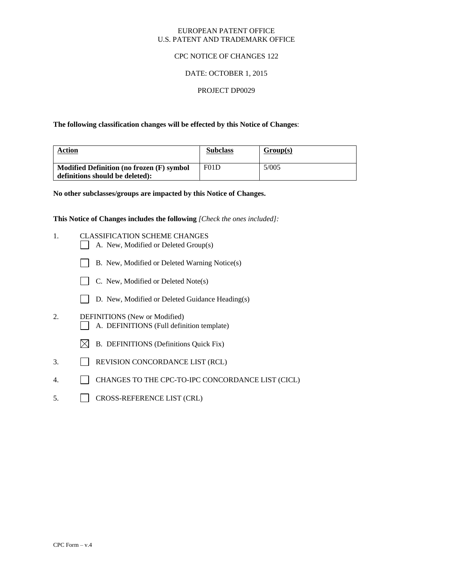### EUROPEAN PATENT OFFICE U.S. PATENT AND TRADEMARK OFFICE

### CPC NOTICE OF CHANGES 122

## DATE: OCTOBER 1, 2015

### PROJECT DP0029

**The following classification changes will be effected by this Notice of Changes**:

| Action                                    | <b>Subclass</b> | Group(s) |
|-------------------------------------------|-----------------|----------|
| Modified Definition (no frozen (F) symbol | F01D            | 5/005    |
| definitions should be deleted):           |                 |          |

**No other subclasses/groups are impacted by this Notice of Changes.**

**This Notice of Changes includes the following** *[Check the ones included]:*

- 1. CLASSIFICATION SCHEME CHANGES
	- A. New, Modified or Deleted Group(s)
	- B. New, Modified or Deleted Warning Notice(s)
	- $\Box$  C. New, Modified or Deleted Note(s)
	- D. New, Modified or Deleted Guidance Heading(s)
- 2. DEFINITIONS (New or Modified) A. DEFINITIONS (Full definition template)
	- $\boxtimes$  B. DEFINITIONS (Definitions Quick Fix)
- 3. REVISION CONCORDANCE LIST (RCL)
- 4. CHANGES TO THE CPC-TO-IPC CONCORDANCE LIST (CICL)
- 5. CROSS-REFERENCE LIST (CRL)